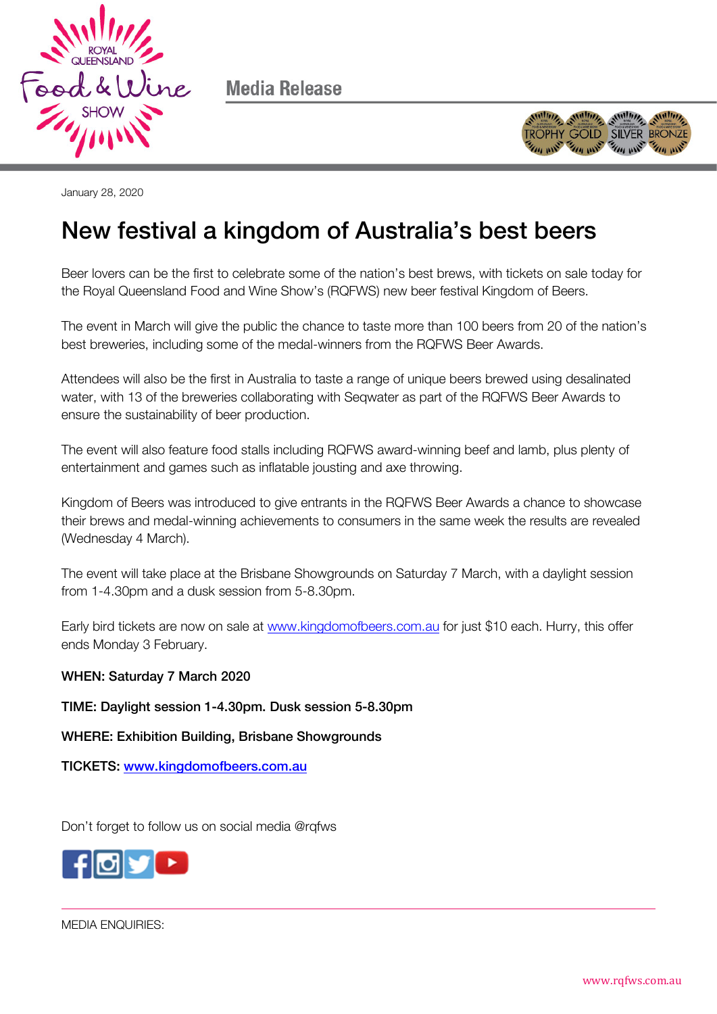

Media Release



January 28, 2020

## New festival a kingdom of Australia's best beers

Beer lovers can be the first to celebrate some of the nation's best brews, with tickets on sale today for the Royal Queensland Food and Wine Show's (RQFWS) new beer festival Kingdom of Beers.

The event in March will give the public the chance to taste more than 100 beers from 20 of the nation's best breweries, including some of the medal-winners from the RQFWS Beer Awards.

Attendees will also be the first in Australia to taste a range of unique beers brewed using desalinated water, with 13 of the breweries collaborating with Seqwater as part of the RQFWS Beer Awards to ensure the sustainability of beer production.

The event will also feature food stalls including RQFWS award-winning beef and lamb, plus plenty of entertainment and games such as inflatable jousting and axe throwing.

Kingdom of Beers was introduced to give entrants in the RQFWS Beer Awards a chance to showcase their brews and medal-winning achievements to consumers in the same week the results are revealed (Wednesday 4 March).

The event will take place at the Brisbane Showgrounds on Saturday 7 March, with a daylight session from 1-4.30pm and a dusk session from 5-8.30pm.

Early bird tickets are now on sale at [www.kingdomofbeers.com.au](http://www.kingdomofbeers.com.au/) for just \$10 each. Hurry, this offer ends Monday 3 February.

## WHEN: Saturday 7 March 2020

TIME: Daylight session 1-4.30pm. Dusk session 5-8.30pm

WHERE: Exhibition Building, Brisbane Showgrounds

TICKETS: [www.kingdomofbeers.com.au](http://www.kingdomofbeers.com.au/)

Don't forget to follow us on social media @rgfws



MEDIA ENQUIRIES: